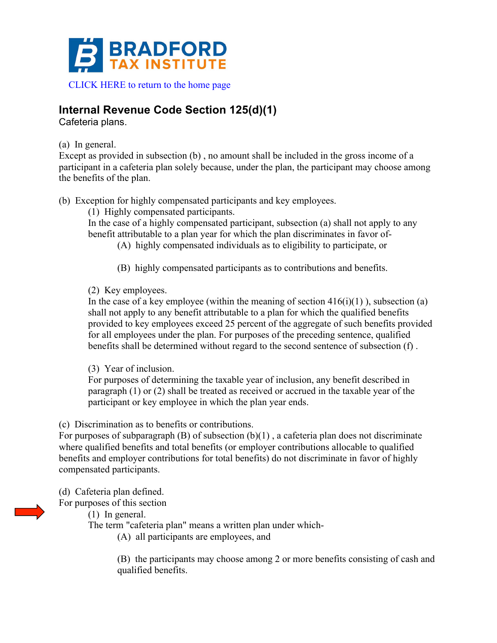

# **Internal Revenue Code Section 125(d)(1)**

Cafeteria plans.

## (a) In general.

Except as provided in subsection (b) , no amount shall be included in the gross income of a participant in a cafeteria plan solely because, under the plan, the participant may choose among the benefits of the plan.

(b) Exception for highly compensated participants and key employees.

(1) Highly compensated participants.

In the case of a highly compensated participant, subsection (a) shall not apply to any benefit attributable to a plan year for which the plan discriminates in favor of-

(A) highly compensated individuals as to eligibility to participate, or

(B) highly compensated participants as to contributions and benefits.

(2) Key employees.

In the case of a key employee (within the meaning of section  $416(i)(1)$ ), subsection (a) shall not apply to any benefit attributable to a plan for which the qualified benefits provided to key employees exceed 25 percent of the aggregate of such benefits provided for all employees under the plan. For purposes of the preceding sentence, qualified benefits shall be determined without regard to the second sentence of subsection (f) .

(3) Year of inclusion.

For purposes of determining the taxable year of inclusion, any benefit described in paragraph (1) or (2) shall be treated as received or accrued in the taxable year of the participant or key employee in which the plan year ends.

(c) Discrimination as to benefits or contributions.

For purposes of subparagraph  $(B)$  of subsection  $(b)(1)$ , a cafeteria plan does not discriminate where qualified benefits and total benefits (or employer contributions allocable to qualified benefits and employer contributions for total benefits) do not discriminate in favor of highly compensated participants.

(d) Cafeteria plan defined.

For purposes of this section

(1) In general.

The term "cafeteria plan" means a written plan under which-

(A) all participants are employees, and

(B) the participants may choose among 2 or more benefits consisting of cash and qualified benefits.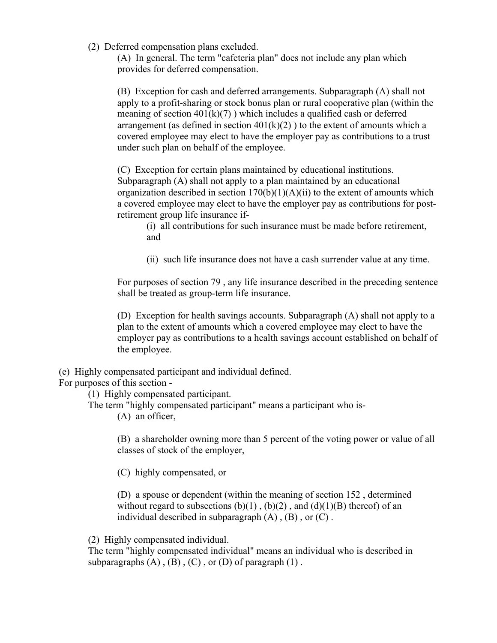(2) Deferred compensation plans excluded.

(A) In general. The term "cafeteria plan" does not include any plan which provides for deferred compensation.

(B) Exception for cash and deferred arrangements. Subparagraph (A) shall not apply to a profit-sharing or stock bonus plan or rural cooperative plan (within the meaning of section  $401(k)(7)$ ) which includes a qualified cash or deferred arrangement (as defined in section  $401(k)(2)$ ) to the extent of amounts which a covered employee may elect to have the employer pay as contributions to a trust under such plan on behalf of the employee.

(C) Exception for certain plans maintained by educational institutions. Subparagraph (A) shall not apply to a plan maintained by an educational organization described in section  $170(b)(1)(A)(ii)$  to the extent of amounts which a covered employee may elect to have the employer pay as contributions for postretirement group life insurance if-

(i) all contributions for such insurance must be made before retirement, and

(ii) such life insurance does not have a cash surrender value at any time.

For purposes of section 79 , any life insurance described in the preceding sentence shall be treated as group-term life insurance.

(D) Exception for health savings accounts. Subparagraph (A) shall not apply to a plan to the extent of amounts which a covered employee may elect to have the employer pay as contributions to a health savings account established on behalf of the employee.

(e) Highly compensated participant and individual defined.

For purposes of this section -

(1) Highly compensated participant.

The term "highly compensated participant" means a participant who is-

(A) an officer,

(B) a shareholder owning more than 5 percent of the voting power or value of all classes of stock of the employer,

(C) highly compensated, or

(D) a spouse or dependent (within the meaning of section 152 , determined without regard to subsections  $(b)(1)$ ,  $(b)(2)$ , and  $(d)(1)(B)$  thereof) of an individual described in subparagraph  $(A)$ ,  $(B)$ , or  $(C)$ .

(2) Highly compensated individual.

The term "highly compensated individual" means an individual who is described in subparagraphs  $(A)$ ,  $(B)$ ,  $(C)$ , or  $(D)$  of paragraph  $(1)$ .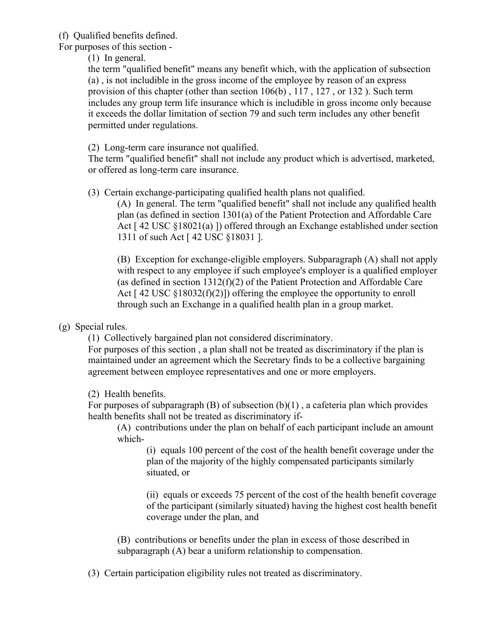(f) Qualified benefits defined.

For purposes of this section -

(1) In general.

the term "qualified benefit" means any benefit which, with the application of subsection (a) , is not includible in the gross income of the employee by reason of an express provision of this chapter (other than section 106(b) , 117 , 127 , or 132 ). Such term includes any group term life insurance which is includible in gross income only because it exceeds the dollar limitation of section 79 and such term includes any other benefit permitted under regulations.

(2) Long-term care insurance not qualified.

The term "qualified benefit" shall not include any product which is advertised, marketed, or offered as long-term care insurance.

(3) Certain exchange-participating qualified health plans not qualified.

(A) In general. The term "qualified benefit" shall not include any qualified health plan (as defined in section 1301(a) of the Patient Protection and Affordable Care Act [ 42 USC §18021(a) ]) offered through an Exchange established under section 1311 of such Act [ 42 USC §18031 ].

(B) Exception for exchange-eligible employers. Subparagraph (A) shall not apply with respect to any employee if such employee's employer is a qualified employer (as defined in section 1312(f)(2) of the Patient Protection and Affordable Care Act  $[42 \text{ USC } \S 18032(f)(2)]$  offering the employee the opportunity to enroll through such an Exchange in a qualified health plan in a group market.

(g) Special rules.

(1) Collectively bargained plan not considered discriminatory.

For purposes of this section , a plan shall not be treated as discriminatory if the plan is maintained under an agreement which the Secretary finds to be a collective bargaining agreement between employee representatives and one or more employers.

(2) Health benefits.

For purposes of subparagraph  $(B)$  of subsection  $(b)(1)$ , a cafeteria plan which provides health benefits shall not be treated as discriminatory if-

(A) contributions under the plan on behalf of each participant include an amount which-

(i) equals 100 percent of the cost of the health benefit coverage under the plan of the majority of the highly compensated participants similarly situated, or

(ii) equals or exceeds 75 percent of the cost of the health benefit coverage of the participant (similarly situated) having the highest cost health benefit coverage under the plan, and

(B) contributions or benefits under the plan in excess of those described in subparagraph (A) bear a uniform relationship to compensation.

(3) Certain participation eligibility rules not treated as discriminatory.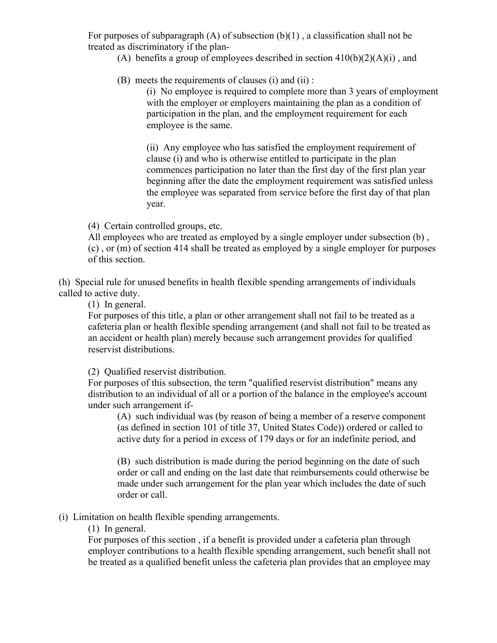For purposes of subparagraph  $(A)$  of subsection  $(b)(1)$ , a classification shall not be treated as discriminatory if the plan-

(A) benefits a group of employees described in section  $410(b)(2)(A)(i)$ , and

(B) meets the requirements of clauses (i) and (ii) :

(i) No employee is required to complete more than 3 years of employment with the employer or employers maintaining the plan as a condition of participation in the plan, and the employment requirement for each employee is the same.

(ii) Any employee who has satisfied the employment requirement of clause (i) and who is otherwise entitled to participate in the plan commences participation no later than the first day of the first plan year beginning after the date the employment requirement was satisfied unless the employee was separated from service before the first day of that plan year.

(4) Certain controlled groups, etc.

All employees who are treated as employed by a single employer under subsection (b) , (c) , or (m) of section 414 shall be treated as employed by a single employer for purposes of this section.

(h) Special rule for unused benefits in health flexible spending arrangements of individuals called to active duty.

(1) In general.

For purposes of this title, a plan or other arrangement shall not fail to be treated as a cafeteria plan or health flexible spending arrangement (and shall not fail to be treated as an accident or health plan) merely because such arrangement provides for qualified reservist distributions.

(2) Qualified reservist distribution.

For purposes of this subsection, the term "qualified reservist distribution" means any distribution to an individual of all or a portion of the balance in the employee's account under such arrangement if-

(A) such individual was (by reason of being a member of a reserve component (as defined in section 101 of title 37, United States Code)) ordered or called to active duty for a period in excess of 179 days or for an indefinite period, and

(B) such distribution is made during the period beginning on the date of such order or call and ending on the last date that reimbursements could otherwise be made under such arrangement for the plan year which includes the date of such order or call.

(i) Limitation on health flexible spending arrangements.

(1) In general.

For purposes of this section , if a benefit is provided under a cafeteria plan through employer contributions to a health flexible spending arrangement, such benefit shall not be treated as a qualified benefit unless the cafeteria plan provides that an employee may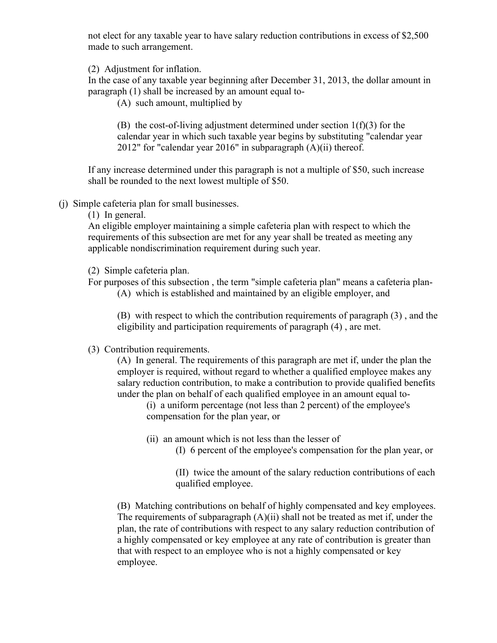not elect for any taxable year to have salary reduction contributions in excess of \$2,500 made to such arrangement.

(2) Adjustment for inflation.

In the case of any taxable year beginning after December 31, 2013, the dollar amount in paragraph (1) shall be increased by an amount equal to-

(A) such amount, multiplied by

(B) the cost-of-living adjustment determined under section  $1(f)(3)$  for the calendar year in which such taxable year begins by substituting "calendar year 2012" for "calendar year 2016" in subparagraph (A)(ii) thereof.

If any increase determined under this paragraph is not a multiple of \$50, such increase shall be rounded to the next lowest multiple of \$50.

(j) Simple cafeteria plan for small businesses.

(1) In general.

An eligible employer maintaining a simple cafeteria plan with respect to which the requirements of this subsection are met for any year shall be treated as meeting any applicable nondiscrimination requirement during such year.

(2) Simple cafeteria plan.

For purposes of this subsection , the term "simple cafeteria plan" means a cafeteria plan-

(A) which is established and maintained by an eligible employer, and

(B) with respect to which the contribution requirements of paragraph (3) , and the eligibility and participation requirements of paragraph (4) , are met.

(3) Contribution requirements.

(A) In general. The requirements of this paragraph are met if, under the plan the employer is required, without regard to whether a qualified employee makes any salary reduction contribution, to make a contribution to provide qualified benefits under the plan on behalf of each qualified employee in an amount equal to-

(i) a uniform percentage (not less than 2 percent) of the employee's compensation for the plan year, or

- (ii) an amount which is not less than the lesser of
	- (I) 6 percent of the employee's compensation for the plan year, or

(II) twice the amount of the salary reduction contributions of each qualified employee.

(B) Matching contributions on behalf of highly compensated and key employees. The requirements of subparagraph  $(A)(ii)$  shall not be treated as met if, under the plan, the rate of contributions with respect to any salary reduction contribution of a highly compensated or key employee at any rate of contribution is greater than that with respect to an employee who is not a highly compensated or key employee.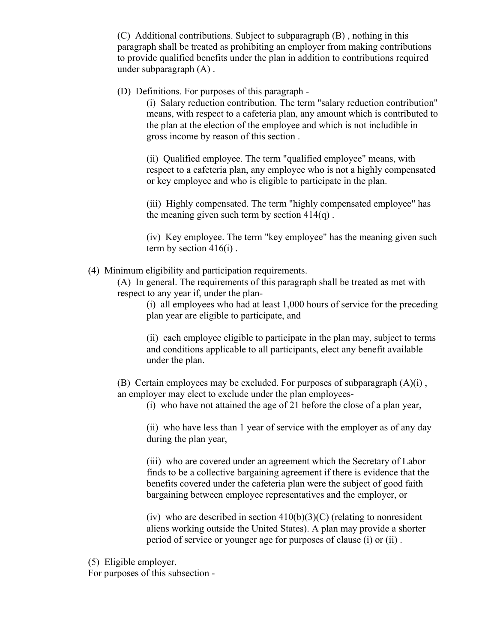(C) Additional contributions. Subject to subparagraph (B) , nothing in this paragraph shall be treated as prohibiting an employer from making contributions to provide qualified benefits under the plan in addition to contributions required under subparagraph (A) .

(D) Definitions. For purposes of this paragraph -

(i) Salary reduction contribution. The term "salary reduction contribution" means, with respect to a cafeteria plan, any amount which is contributed to the plan at the election of the employee and which is not includible in gross income by reason of this section .

(ii) Qualified employee. The term "qualified employee" means, with respect to a cafeteria plan, any employee who is not a highly compensated or key employee and who is eligible to participate in the plan.

(iii) Highly compensated. The term "highly compensated employee" has the meaning given such term by section  $414(q)$ .

(iv) Key employee. The term "key employee" has the meaning given such term by section  $416(i)$ .

(4) Minimum eligibility and participation requirements.

(A) In general. The requirements of this paragraph shall be treated as met with respect to any year if, under the plan-

(i) all employees who had at least 1,000 hours of service for the preceding plan year are eligible to participate, and

(ii) each employee eligible to participate in the plan may, subject to terms and conditions applicable to all participants, elect any benefit available under the plan.

(B) Certain employees may be excluded. For purposes of subparagraph  $(A)(i)$ , an employer may elect to exclude under the plan employees-

(i) who have not attained the age of 21 before the close of a plan year,

(ii) who have less than 1 year of service with the employer as of any day during the plan year,

(iii) who are covered under an agreement which the Secretary of Labor finds to be a collective bargaining agreement if there is evidence that the benefits covered under the cafeteria plan were the subject of good faith bargaining between employee representatives and the employer, or

(iv) who are described in section  $410(b)(3)(C)$  (relating to nonresident aliens working outside the United States). A plan may provide a shorter period of service or younger age for purposes of clause (i) or (ii) .

(5) Eligible employer.

For purposes of this subsection -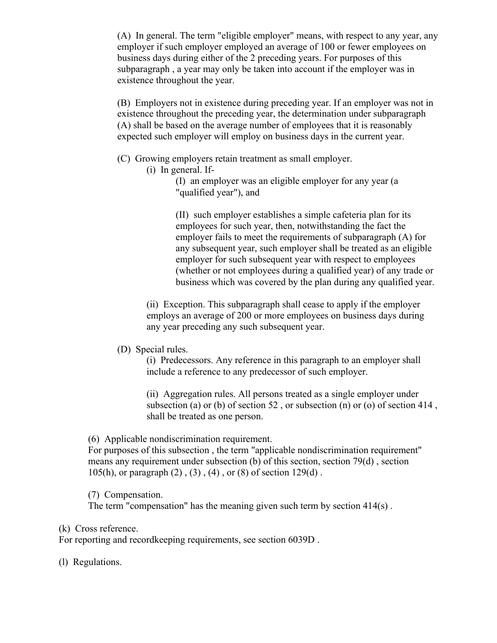(A) In general. The term "eligible employer" means, with respect to any year, any employer if such employer employed an average of 100 or fewer employees on business days during either of the 2 preceding years. For purposes of this subparagraph , a year may only be taken into account if the employer was in existence throughout the year.

(B) Employers not in existence during preceding year. If an employer was not in existence throughout the preceding year, the determination under subparagraph (A) shall be based on the average number of employees that it is reasonably expected such employer will employ on business days in the current year.

- (C) Growing employers retain treatment as small employer.
	- (i) In general. If-

(I) an employer was an eligible employer for any year (a "qualified year"), and

(II) such employer establishes a simple cafeteria plan for its employees for such year, then, notwithstanding the fact the employer fails to meet the requirements of subparagraph (A) for any subsequent year, such employer shall be treated as an eligible employer for such subsequent year with respect to employees (whether or not employees during a qualified year) of any trade or business which was covered by the plan during any qualified year.

(ii) Exception. This subparagraph shall cease to apply if the employer employs an average of 200 or more employees on business days during any year preceding any such subsequent year.

### (D) Special rules.

(i) Predecessors. Any reference in this paragraph to an employer shall include a reference to any predecessor of such employer.

(ii) Aggregation rules. All persons treated as a single employer under subsection (a) or (b) of section  $52$ , or subsection (n) or (o) of section  $414$ , shall be treated as one person.

### (6) Applicable nondiscrimination requirement.

For purposes of this subsection , the term "applicable nondiscrimination requirement" means any requirement under subsection (b) of this section, section 79(d) , section 105(h), or paragraph  $(2)$ ,  $(3)$ ,  $(4)$ , or  $(8)$  of section 129(d).

(7) Compensation.

The term "compensation" has the meaning given such term by section 414(s) .

### (k) Cross reference.

For reporting and recordkeeping requirements, see section 6039D .

(l) Regulations.